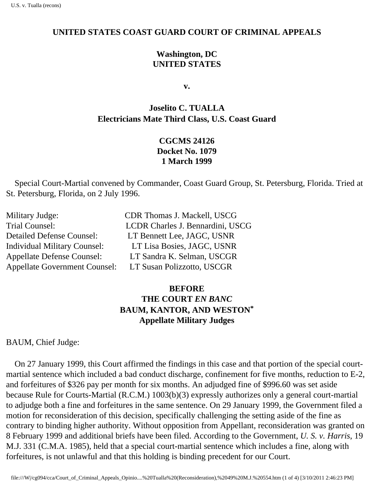#### **UNITED STATES COAST GUARD COURT OF CRIMINAL APPEALS**

### **Washington, DC UNITED STATES**

**v.**

# **Joselito C. TUALLA Electrician s Mate Third Class, U.S. Coast Guard**

## **CGCMS 24126 Docket No. 1079 1 March 1999**

 Special Court-Martial convened by Commander, Coast Guard Group, St. Petersburg, Florida. Tried at St. Petersburg, Florida, on 2 July 1996.

| Military Judge:                      | CDR Thomas J. Mackell, USCG      |
|--------------------------------------|----------------------------------|
| Trial Counsel:                       | LCDR Charles J. Bennardini, USCG |
| <b>Detailed Defense Counsel:</b>     | LT Bennett Lee, JAGC, USNR       |
| <b>Individual Military Counsel:</b>  | LT Lisa Bosies, JAGC, USNR       |
| <b>Appellate Defense Counsel:</b>    | LT Sandra K. Selman, USCGR       |
| <b>Appellate Government Counsel:</b> | LT Susan Polizzotto, USCGR       |

## **BEFORE THE COURT** *EN BANC* **BAUM, KANTOR, AND WESTON\* Appellate Military Judges**

BAUM, Chief Judge:

 On 27 January 1999, this Court affirmed the findings in this case and that portion of the special courtmartial sentence which included a bad conduct discharge, confinement for five months, reduction to E-2, and forfeitures of \$326 pay per month for six months. An adjudged fine of \$996.60 was set aside because Rule for Courts-Martial (R.C.M.) 1003(b)(3) expressly authorizes only a general court-martial to adjudge both a fine and forfeitures in the same sentence. On 29 January 1999, the Government filed a motion for reconsideration of this decision, specifically challenging the setting aside of the fine as contrary to binding higher authority. Without opposition from Appellant, reconsideration was granted on 8 February 1999 and additional briefs have been filed. According to the Government, *U. S. v. Harris*, 19 M.J. 331 (C.M.A. 1985), held that a special court-martial sentence which includes a fine, along with forfeitures, is not unlawful and that this holding is binding precedent for our Court.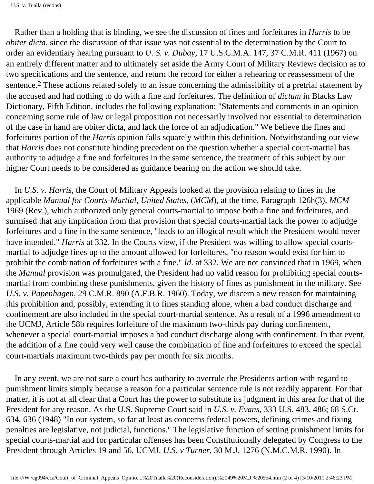Rather than a holding that is binding, we see the discussion of fines and forfeitures in *Harris* to be *obiter dicta*, since the discussion of that issue was not essential to the determination by the Court to order an evidentiary hearing pursuant to *U. S. v. Dubay*, 17 U.S.C.M.A. 147, 37 C.M.R. 411 (1967) on an entirely different matter and to ultimately set aside the Army Court of Military Review s decision as to two specifications and the sentence, and return the record for either a rehearing or reassessment of the sentence.2 These actions related solely to an issue concerning the admissibility of a pretrial statement by the accused and had nothing to do with a fine and forfeitures. The definition of *dictum* in Black s Law Dictionary, Fifth Edition, includes the following explanation: "Statements and comments in an opinion concerning some rule of law or legal proposition not necessarily involved nor essential to determination of the case in hand are obiter dicta, and lack the force of an adjudication." We believe the fines and forfeitures portion of the *Harris* opinion falls squarely within this definition. Notwithstanding our view that *Harris* does not constitute binding precedent on the question whether a special court-martial has authority to adjudge a fine and forfeitures in the same sentence, the treatment of this subject by our higher Court needs to be considered as guidance bearing on the action we should take.

 In *U.S. v. Harris*, the Court of Military Appeals looked at the provision relating to fines in the applicable *Manual for Courts-Martial*, *United States,* (*MCM*), at the time, Paragraph 126h(3), *MCM*  1969 (Rev.), which authorized only general courts-martial to impose both a fine and forfeitures, and surmised that any implication from that provision that special courts-martial lack the power to adjudge forfeitures and a fine in the same sentence, "leads to an illogical result which the President would never have intended." *Harris* at 332. In the Court s view, if the President was willing to allow special courtsmartial to adjudge fines up to the amount allowed for forfeitures, "no reason would exist for him to prohibit the combination of forfeitures with a fine." *Id*. at 332. We are not convinced that in 1969, when the *Manual* provision was promulgated, the President had no valid reason for prohibiting special courtsmartial from combining these punishments, given the history of fines as punishment in the military. See *U.S. v. Papenhagen*, 29 C.M.R. 890 (A.F.B.R. 1960). Today, we discern a new reason for maintaining this prohibition and, possibly, extending it to fines standing alone, when a bad conduct discharge and confinement are also included in the special court-martial sentence. As a result of a 1996 amendment to the UCMJ, Article 58b requires forfeiture of the maximum two-thirds pay during confinement, whenever a special court-martial imposes a bad conduct discharge along with confinement. In that event, the addition of a fine could very well cause the combination of fine and forfeitures to exceed the special court-martial s maximum two-thirds pay per month for six months.

 In any event, we are not sure a court has authority to overrule the President s action with regard to punishment limits simply because a reason for a particular sentence rule is not readily apparent. For that matter, it is not at all clear that a Court has the power to substitute its judgment in this area for that of the President for any reason. As the U.S. Supreme Court said in *U.S. v. Evans*, 333 U.S. 483, 486; 68 S.Ct. 634, 636 (1948) "In our system, so far at least as concerns federal powers, defining crimes and fixing penalties are legislative, not judicial, functions." The legislative function of setting punishment limits for special courts-martial and for particular offenses has been Constitutionally delegated by Congress to the President through Articles 19 and 56, UCMJ. *U.S. v Turner*, 30 M.J. 1276 (N.M.C.M.R. 1990). In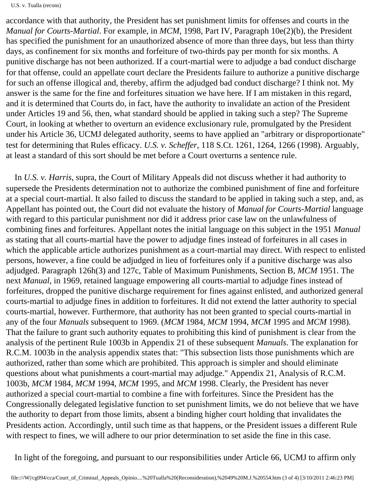U.S. v. Tualla (recons)

accordance with that authority, the President has set punishment limits for offenses and courts in the *Manual for Courts-Martial*. For example, in *MCM*, 1998, Part IV, Paragraph 10e(2)(b), the President has specified the punishment for an unauthorized absence of more than three days, but less than thirty days, as confinement for six months and forfeiture of two-thirds pay per month for six months. A punitive discharge has not been authorized. If a court-martial were to adjudge a bad conduct discharge for that offense, could an appellate court declare the President s failure to authorize a punitive discharge for such an offense illogical and, thereby, affirm the adjudged bad conduct discharge? I think not. My answer is the same for the fine and forfeitures situation we have here. If I am mistaken in this regard, and it is determined that Courts do, in fact, have the authority to invalidate an action of the President under Articles 19 and 56, then, what standard should be applied in taking such a step? The Supreme Court, in looking at whether to overturn an evidence exclusionary rule, promulgated by the President under his Article 36, UCMJ delegated authority, seems to have applied an "arbitrary or disproportionate" test for determining that Rule s efficacy. *U.S. v. Scheffer*, 118 S.Ct. 1261, 1264, 1266 (1998). Arguably, at least a standard of this sort should be met before a Court overturns a sentence rule.

 In *U.S. v. Harris*, supra, the Court of Military Appeals did not discuss whether it had authority to supersede the President s determination not to authorize the combined punishment of fine and forfeiture at a special court-martial. It also failed to discuss the standard to be applied in taking such a step, and, as Appellant has pointed out, the Court did not evaluate the history of *Manual for Courts-Martial* language with regard to this particular punishment nor did it address prior case law on the unlawfulness of combining fines and forfeitures. Appellant notes the initial language on this subject in the 1951 *Manual*  as stating that all courts-martial have the power to adjudge fines instead of forfeitures in all cases in which the applicable article authorizes punishment as a court-martial may direct. With respect to enlisted persons, however, a fine could be adjudged in lieu of forfeitures only if a punitive discharge was also adjudged. Paragraph 126h(3) and 127c, Table of Maximum Punishments, Section B, *MCM* 1951. The next *Manual*, in 1969, retained language empowering all courts-martial to adjudge fines instead of forfeitures, dropped the punitive discharge requirement for fines against enlisted, and authorized general courts-martial to adjudge fines in addition to forfeitures. It did not extend the latter authority to special courts-martial, however. Furthermore, that authority has not been granted to special courts-martial in any of the four *Manuals* subsequent to 1969. (*MCM* 1984, *MCM* 1994, *MCM* 1995 and *MCM* 1998). That the failure to grant such authority equates to prohibiting this kind of punishment is clear from the analysis of the pertinent Rule 1003b in Appendix 21 of these subsequent *Manuals*. The explanation for R.C.M. 1003b in the analysis appendix states that: "This subsection lists those punishments which are authorized, rather than some which are prohibited. This approach is simpler and should eliminate questions about what punishments a court-martial may adjudge." Appendix 21, Analysis of R.C.M. 1003b, *MCM* 1984, *MCM* 1994, *MCM* 1995, and *MCM* 1998. Clearly, the President has never authorized a special court-martial to combine a fine with forfeitures. Since the President has the Congressionally delegated legislative function to set punishment limits, we do not believe that we have the authority to depart from those limits, absent a binding higher court holding that invalidates the President s action. Accordingly, until such time as that happens, or the President issues a different Rule with respect to fines, we will adhere to our prior determination to set aside the fine in this case.

In light of the foregoing, and pursuant to our responsibilities under Article 66, UCMJ to affirm only